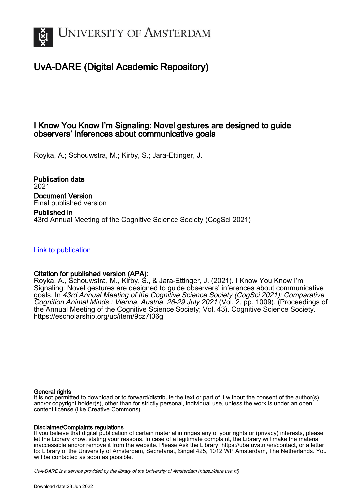

# UvA-DARE (Digital Academic Repository)

### I Know You Know I'm Signaling: Novel gestures are designed to guide observers' inferences about communicative goals

Royka, A.; Schouwstra, M.; Kirby, S.; Jara-Ettinger, J.

Publication date 2021 Document Version Final published version Published in 43rd Annual Meeting of the Cognitive Science Society (CogSci 2021)

[Link to publication](https://dare.uva.nl/personal/pure/en/publications/i-know-you-know-im-signaling-novel-gestures-are-designed-to-guide-observers-inferences-about-communicative-goals(92608433-6d5e-4efe-8a81-7f61d03395cc).html)

### Citation for published version (APA):

Royka, A., Schouwstra, M., Kirby, S., & Jara-Ettinger, J. (2021). I Know You Know I'm Signaling: Novel gestures are designed to guide observers' inferences about communicative goals. In 43rd Annual Meeting of the Cognitive Science Society (CogSci 2021): Comparative Cognition Animal Minds : Vienna, Austria, 26-29 July 2021 (Vol. 2, pp. 1009). (Proceedings of the Annual Meeting of the Cognitive Science Society; Vol. 43). Cognitive Science Society. <https://escholarship.org/uc/item/9cz7t06g>

#### General rights

It is not permitted to download or to forward/distribute the text or part of it without the consent of the author(s) and/or copyright holder(s), other than for strictly personal, individual use, unless the work is under an open content license (like Creative Commons).

#### Disclaimer/Complaints regulations

If you believe that digital publication of certain material infringes any of your rights or (privacy) interests, please let the Library know, stating your reasons. In case of a legitimate complaint, the Library will make the material inaccessible and/or remove it from the website. Please Ask the Library: https://uba.uva.nl/en/contact, or a letter to: Library of the University of Amsterdam, Secretariat, Singel 425, 1012 WP Amsterdam, The Netherlands. You will be contacted as soon as possible.

UvA-DARE is a service provided by the library of the University of Amsterdam (http*s*://dare.uva.nl)